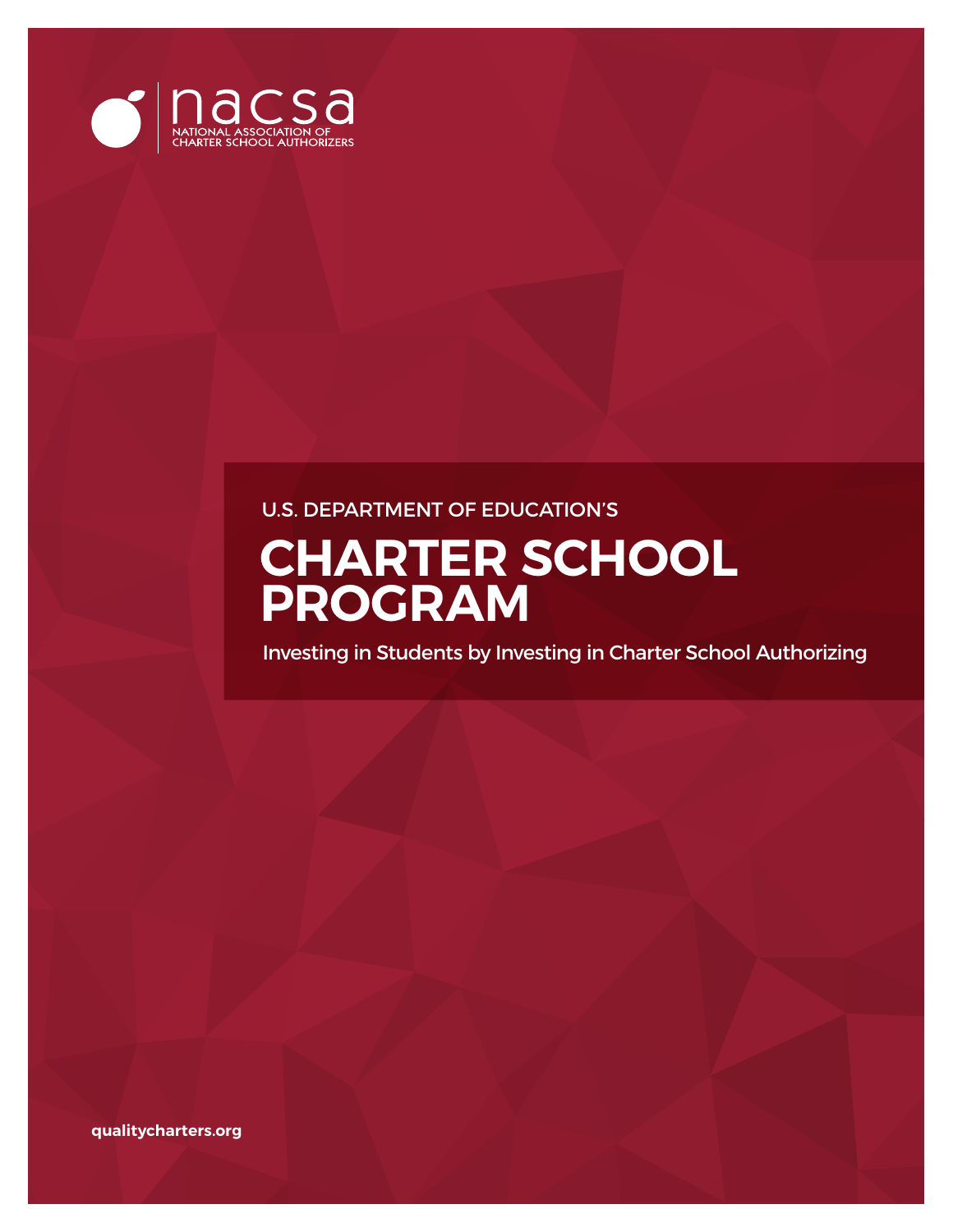

### U.S. DEPARTMENT OF EDUCATION'S

# **CHARTER SCHOOL PROGRAM**

Investing in Students by Investing in Charter School Authorizing

**qualitycharters.org**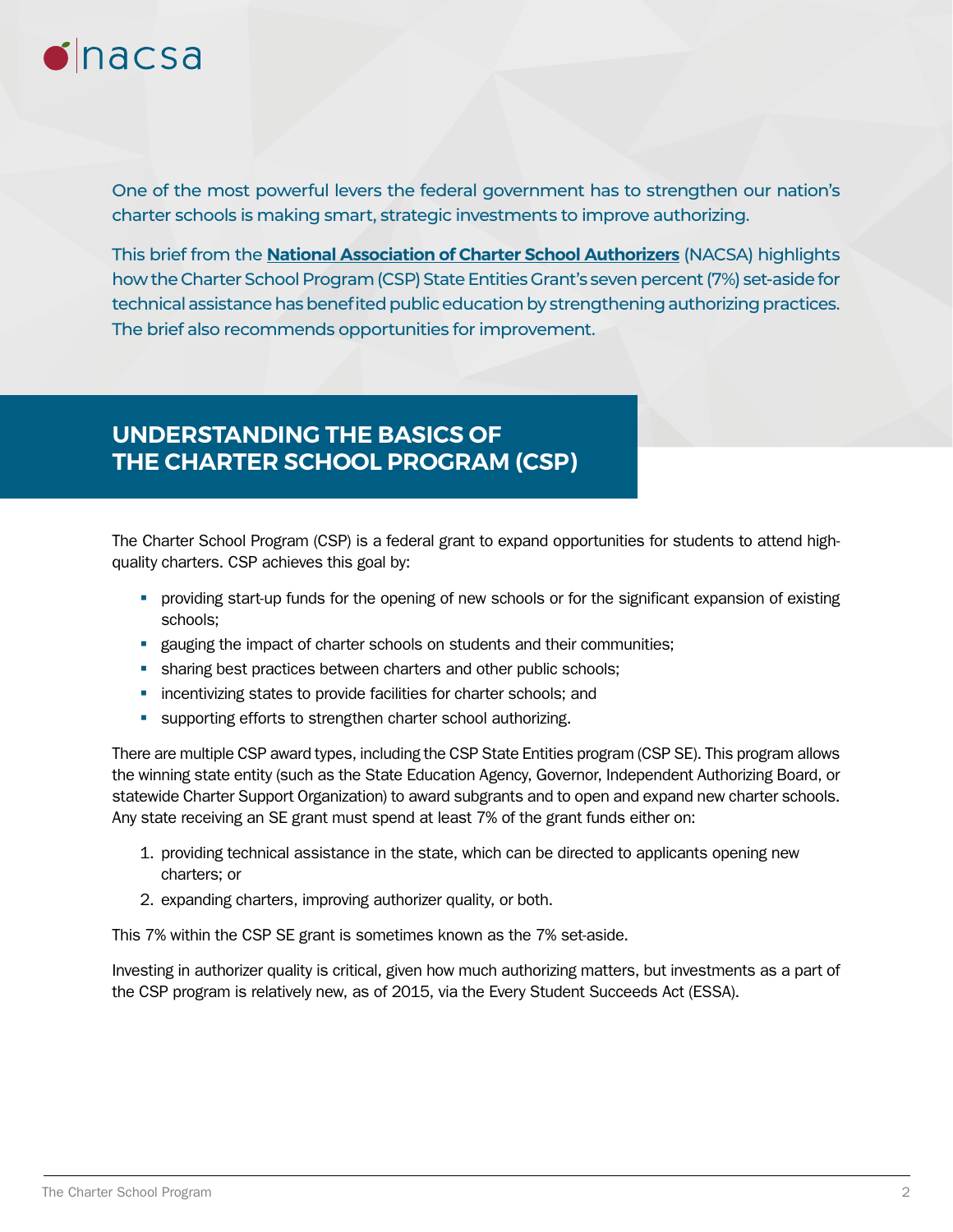

One of the most powerful levers the federal government has to strengthen our nation's charter schools is making smart, strategic investments to improve authorizing.

This brief from the **[National Association of Charter School Authorizers](https://www.qualitycharters.org/)** (NACSA) highlights how the Charter School Program (CSP) State Entities Grant's seven percent (7%) set-aside for technical assistance has benefited public education by strengthening authorizing practices. The brief also recommends opportunities for improvement.

### **UNDERSTANDING THE BASICS OF THE CHARTER SCHOOL PROGRAM (CSP)**

The Charter School Program (CSP) is a federal grant to expand opportunities for students to attend highquality charters. CSP achieves this goal by:

- � providing start-up funds for the opening of new schools or for the significant expansion of existing schools;
- **Example 1** gauging the impact of charter schools on students and their communities;
- **•** sharing best practices between charters and other public schools;
- **•** incentivizing states to provide facilities for charter schools; and
- **•** supporting efforts to strengthen charter school authorizing.

There are multiple CSP award types, including the CSP State Entities program (CSP SE). This program allows the winning state entity (such as the State Education Agency, Governor, Independent Authorizing Board, or statewide Charter Support Organization) to award subgrants and to open and expand new charter schools. Any state receiving an SE grant must spend at least 7% of the grant funds either on:

- 1. providing technical assistance in the state, which can be directed to applicants opening new charters; or
- 2. expanding charters, improving authorizer quality, or both.

This 7% within the CSP SE grant is sometimes known as the 7% set-aside.

Investing in authorizer quality is critical, given how much authorizing matters, but investments as a part of the CSP program is relatively new, as of 2015, via the Every Student Succeeds Act (ESSA).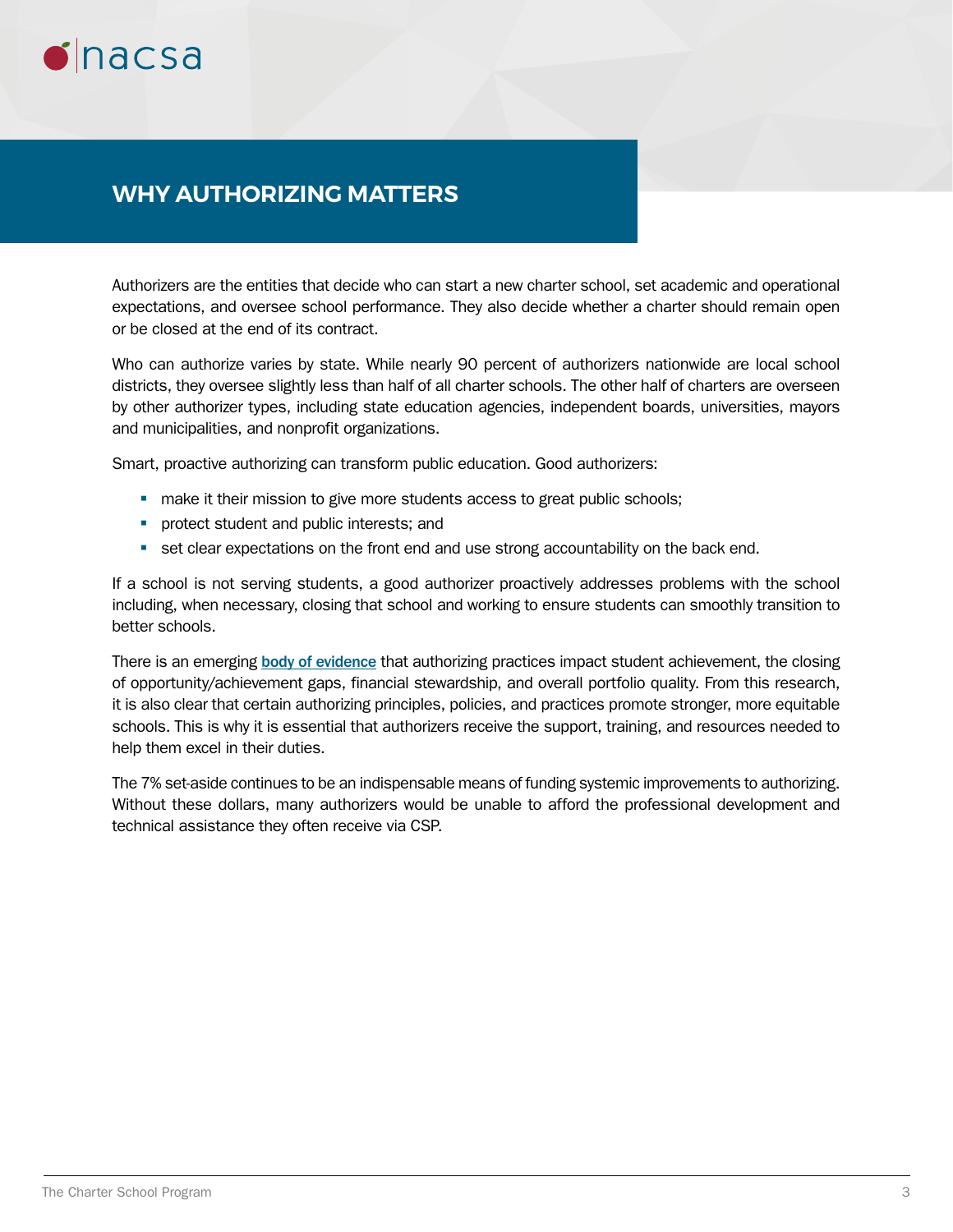

### **WHY AUTHORIZING MATTERS**

Authorizers are the entities that decide who can start a new charter school, set academic and operational expectations, and oversee school performance. They also decide whether a charter should remain open or be closed at the end of its contract.

Who can authorize varies by state. While nearly 90 percent of authorizers nationwide are local school districts, they oversee slightly less than half of all charter schools. The other half of charters are overseen by other authorizer types, including state education agencies, independent boards, universities, mayors and municipalities, and nonprofit organizations.

Smart, proactive authorizing can transform public education. Good authorizers:

- **•** make it their mission to give more students access to great public schools;
- **•** protect student and public interests; and
- **•** set clear expectations on the front end and use strong accountability on the back end.

If a school is not serving students, a good authorizer proactively addresses problems with the school including, when necessary, closing that school and working to ensure students can smoothly transition to better schools.

There is an emerging [body of evidence](https://www.qualitycharters.org/research/quality-practice-project/) that authorizing practices impact student achievement, the closing of opportunity/achievement gaps, financial stewardship, and overall portfolio quality. From this research, it is also clear that certain authorizing principles, policies, and practices promote stronger, more equitable schools. This is why it is essential that authorizers receive the support, training, and resources needed to help them excel in their duties.

The 7% set-aside continues to be an indispensable means of funding systemic improvements to authorizing. Without these dollars, many authorizers would be unable to afford the professional development and technical assistance they often receive via CSP.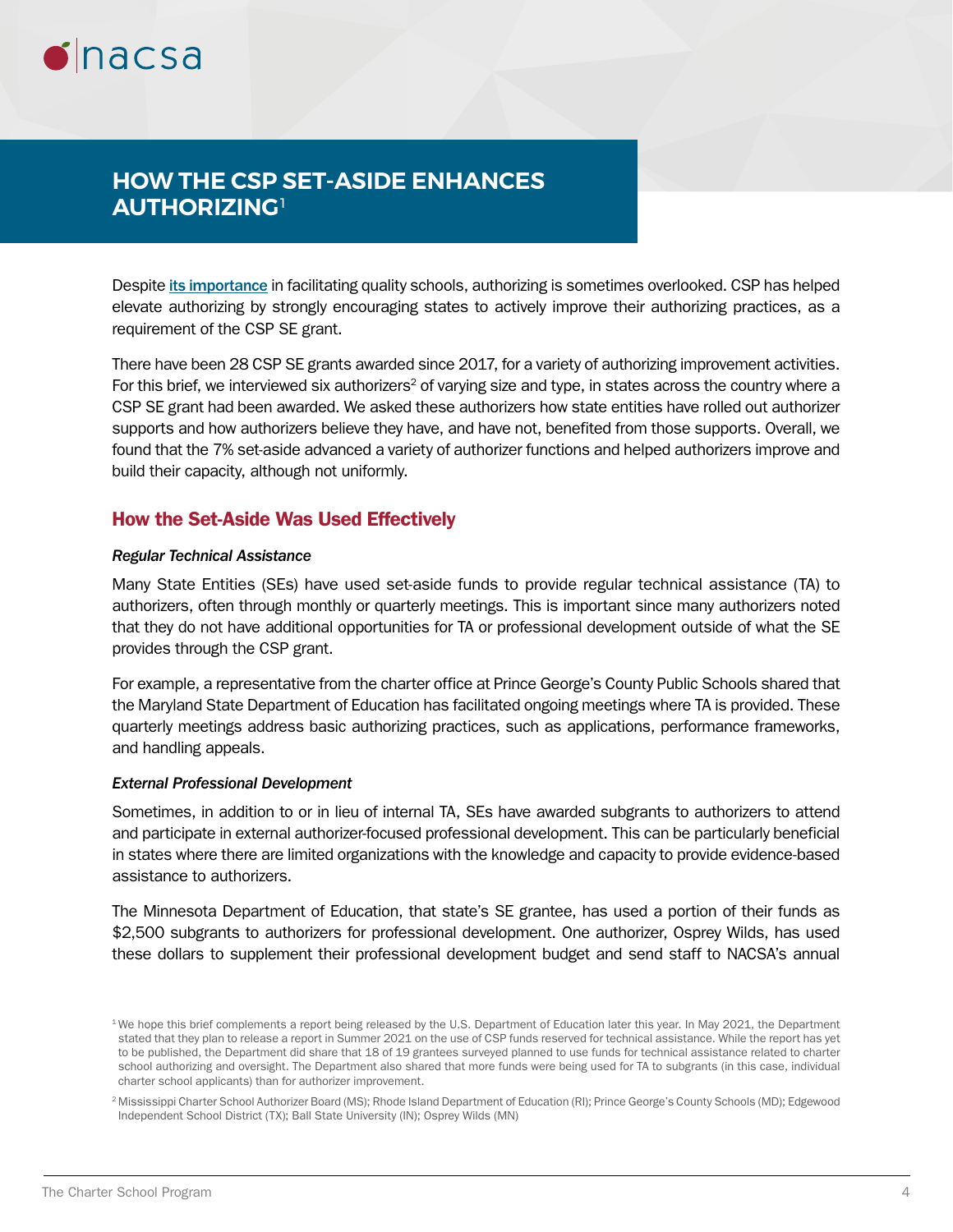

## **HOW THE CSP SET-ASIDE ENHANCES AUTHORIZING**<sup>1</sup>

Despite [its importance](https://www.qualitycharters.org/research/quality-practice-project/) in facilitating quality schools, authorizing is sometimes overlooked. CSP has helped elevate authorizing by strongly encouraging states to actively improve their authorizing practices, as a requirement of the CSP SE grant.

There have been 28 CSP SE grants awarded since 2017, for a variety of authorizing improvement activities. For this brief, we interviewed six authorizers<sup>2</sup> of varying size and type, in states across the country where a CSP SE grant had been awarded. We asked these authorizers how state entities have rolled out authorizer supports and how authorizers believe they have, and have not, benefited from those supports. Overall, we found that the 7% set-aside advanced a variety of authorizer functions and helped authorizers improve and build their capacity, although not uniformly.

### How the Set-Aside Was Used Effectively

### *Regular Technical Assistance*

Many State Entities (SEs) have used set-aside funds to provide regular technical assistance (TA) to authorizers, often through monthly or quarterly meetings. This is important since many authorizers noted that they do not have additional opportunities for TA or professional development outside of what the SE provides through the CSP grant.

For example, a representative from the charter office at Prince George's County Public Schools shared that the Maryland State Department of Education has facilitated ongoing meetings where TA is provided. These quarterly meetings address basic authorizing practices, such as applications, performance frameworks, and handling appeals.

#### *External Professional Development*

Sometimes, in addition to or in lieu of internal TA, SEs have awarded subgrants to authorizers to attend and participate in external authorizer-focused professional development. This can be particularly beneficial in states where there are limited organizations with the knowledge and capacity to provide evidence-based assistance to authorizers.

The Minnesota Department of Education, that state's SE grantee, has used a portion of their funds as \$2,500 subgrants to authorizers for professional development. One authorizer, Osprey Wilds, has used these dollars to supplement their professional development budget and send staff to NACSA's annual

<sup>&</sup>lt;sup>1</sup>We hope this brief complements a report being released by the U.S. Department of Education later this year. In May 2021, the Department stated that they plan to release a report in Summer 2021 on the use of CSP funds reserved for technical assistance. While the report has yet to be published, the Department did share that 18 of 19 grantees surveyed planned to use funds for technical assistance related to charter school authorizing and oversight. The Department also shared that more funds were being used for TA to subgrants (in this case, individual charter school applicants) than for authorizer improvement.

<sup>2</sup> Mississippi Charter School Authorizer Board (MS); Rhode Island Department of Education (RI); Prince George's County Schools (MD); Edgewood Independent School District (TX); Ball State University (IN); Osprey Wilds (MN)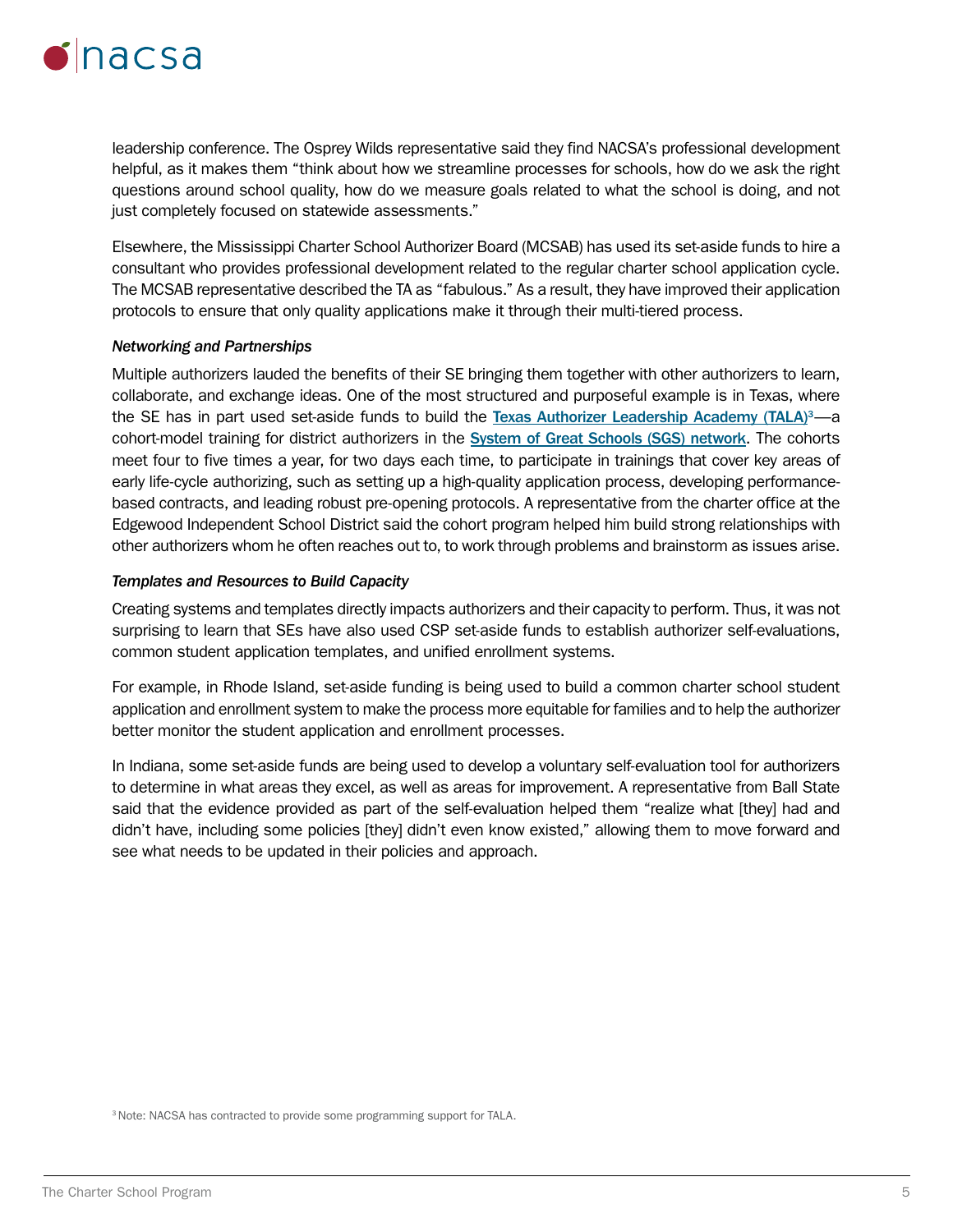

leadership conference. The Osprey Wilds representative said they find NACSA's professional development helpful, as it makes them "think about how we streamline processes for schools, how do we ask the right questions around school quality, how do we measure goals related to what the school is doing, and not just completely focused on statewide assessments."

Elsewhere, the Mississippi Charter School Authorizer Board (MCSAB) has used its set-aside funds to hire a consultant who provides professional development related to the regular charter school application cycle. The MCSAB representative described the TA as "fabulous." As a result, they have improved their application protocols to ensure that only quality applications make it through their multi-tiered process.

#### *Networking and Partnerships*

Multiple authorizers lauded the benefits of their SE bringing them together with other authorizers to learn, collaborate, and exchange ideas. One of the most structured and purposeful example is in Texas, where the SE has in part used set-aside funds to build the [Texas Authorizer Leadership Academy \(TALA\)](https://tea.texas.gov/texas-schools/district-initiatives/system-of-great-schools) $3-$ a cohort-model training for district authorizers in the [System of Great Schools \(SGS\) network](https://tea.texas.gov/texas-schools/district-initiatives/system-of-great-schools). The cohorts meet four to five times a year, for two days each time, to participate in trainings that cover key areas of early life-cycle authorizing, such as setting up a high-quality application process, developing performancebased contracts, and leading robust pre-opening protocols. A representative from the charter office at the Edgewood Independent School District said the cohort program helped him build strong relationships with other authorizers whom he often reaches out to, to work through problems and brainstorm as issues arise.

#### *Templates and Resources to Build Capacity*

Creating systems and templates directly impacts authorizers and their capacity to perform. Thus, it was not surprising to learn that SEs have also used CSP set-aside funds to establish authorizer self-evaluations, common student application templates, and unified enrollment systems.

For example, in Rhode Island, set-aside funding is being used to build a common charter school student application and enrollment system to make the process more equitable for families and to help the authorizer better monitor the student application and enrollment processes.

In Indiana, some set-aside funds are being used to develop a voluntary self-evaluation tool for authorizers to determine in what areas they excel, as well as areas for improvement. A representative from Ball State said that the evidence provided as part of the self-evaluation helped them "realize what [they] had and didn't have, including some policies [they] didn't even know existed," allowing them to move forward and see what needs to be updated in their policies and approach.

<sup>3</sup> Note: NACSA has contracted to provide some programming support for TALA.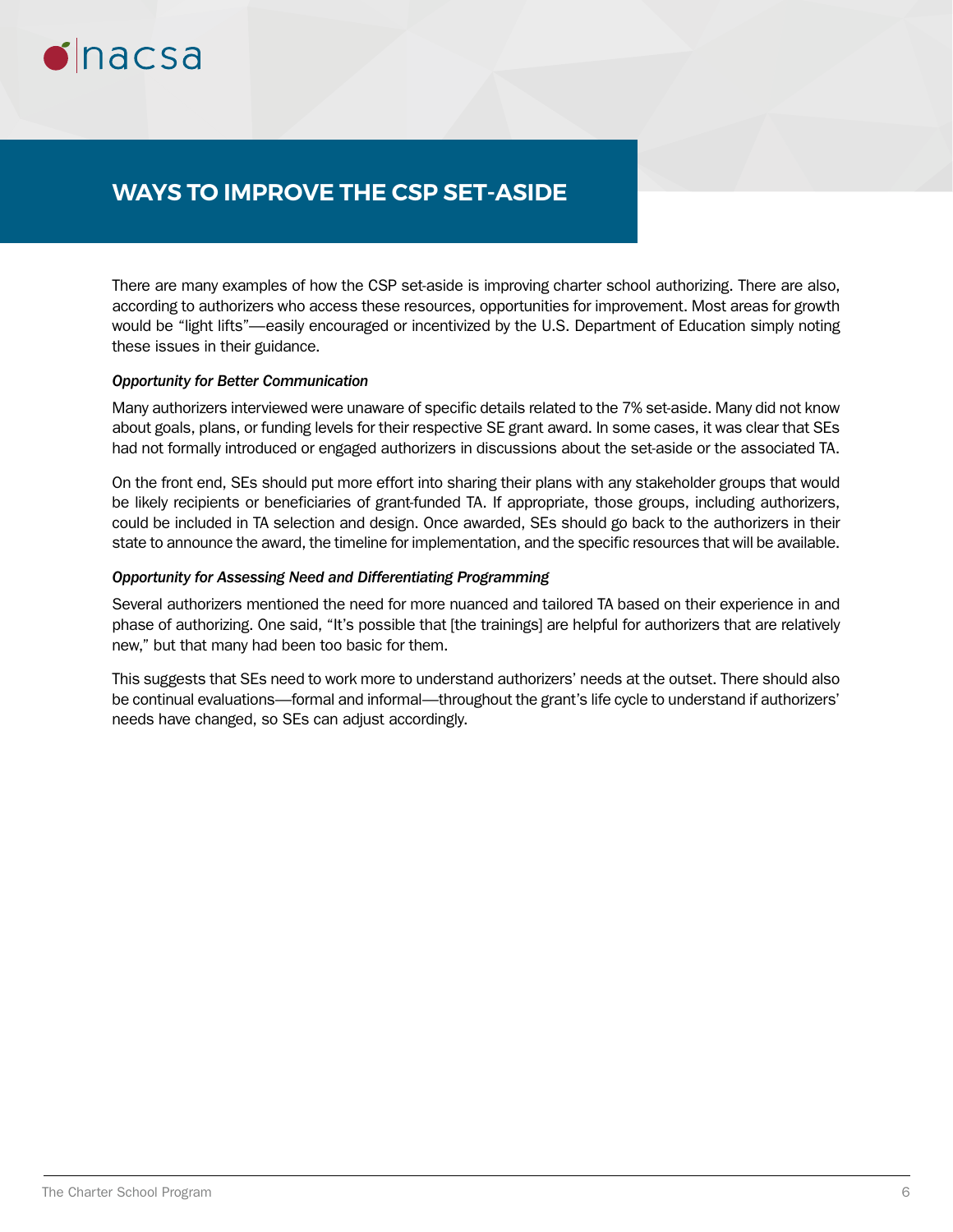

### **WAYS TO IMPROVE THE CSP SET-ASIDE**

There are many examples of how the CSP set-aside is improving charter school authorizing. There are also, according to authorizers who access these resources, opportunities for improvement. Most areas for growth would be "light lifts"—easily encouraged or incentivized by the U.S. Department of Education simply noting these issues in their guidance.

### *Opportunity for Better Communication*

Many authorizers interviewed were unaware of specific details related to the 7% set-aside. Many did not know about goals, plans, or funding levels for their respective SE grant award. In some cases, it was clear that SEs had not formally introduced or engaged authorizers in discussions about the set-aside or the associated TA.

On the front end, SEs should put more effort into sharing their plans with any stakeholder groups that would be likely recipients or beneficiaries of grant-funded TA. If appropriate, those groups, including authorizers, could be included in TA selection and design. Once awarded, SEs should go back to the authorizers in their state to announce the award, the timeline for implementation, and the specific resources that will be available.

### *Opportunity for Assessing Need and Differentiating Programming*

Several authorizers mentioned the need for more nuanced and tailored TA based on their experience in and phase of authorizing. One said, "It's possible that [the trainings] are helpful for authorizers that are relatively new," but that many had been too basic for them.

This suggests that SEs need to work more to understand authorizers' needs at the outset. There should also be continual evaluations—formal and informal—throughout the grant's life cycle to understand if authorizers' needs have changed, so SEs can adjust accordingly.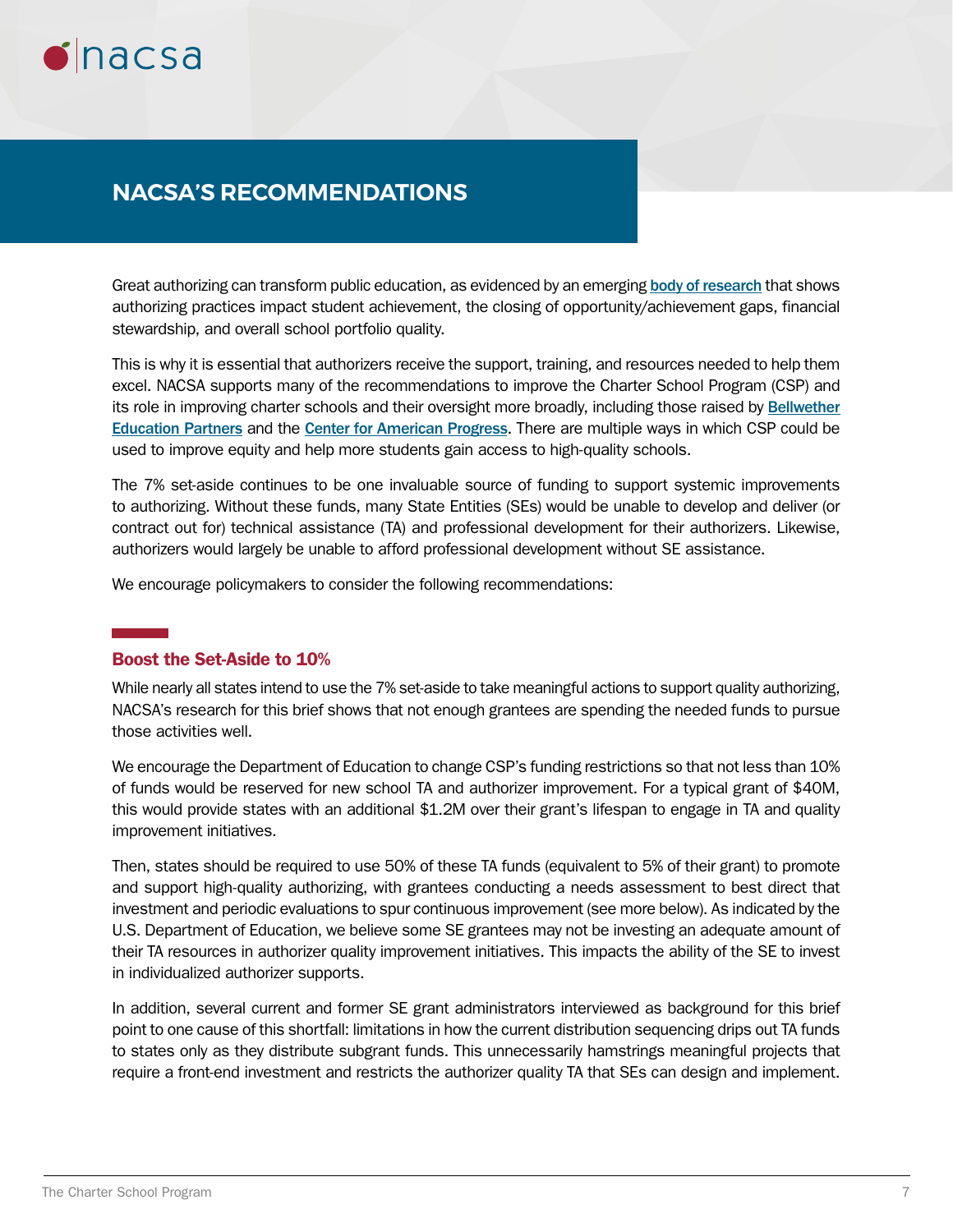

### **NACSA'S RECOMMENDATIONS**

Great authorizing can transform public education, as evidenced by an emerging [body of research](https://www.qualitycharters.org/research/quality-practice-project/) that shows authorizing practices impact student achievement, the closing of opportunity/achievement gaps, financial stewardship, and overall school portfolio quality.

This is why it is essential that authorizers receive the support, training, and resources needed to help them excel. NACSA supports many of the recommendations to improve the Charter School Program (CSP) and its role in improving charter schools and their oversight more broadly, including those raised by [Bellwether](https://bellwethereducation.org/publication/clearing-air-analysis-federal-charter-schools-program)  [Education Partners](https://bellwethereducation.org/publication/clearing-air-analysis-federal-charter-schools-program) and the [Center for American Progress](https://www.americanprogress.org/issues/education-k-12/news/2019/10/28/475994/modernizing-federal-charter-schools-program/). There are multiple ways in which CSP could be used to improve equity and help more students gain access to high-quality schools.

The 7% set-aside continues to be one invaluable source of funding to support systemic improvements to authorizing. Without these funds, many State Entities (SEs) would be unable to develop and deliver (or contract out for) technical assistance (TA) and professional development for their authorizers. Likewise, authorizers would largely be unable to afford professional development without SE assistance.

We encourage policymakers to consider the following recommendations:

### Boost the Set-Aside to 10%

While nearly all states intend to use the 7% set-aside to take meaningful actions to support quality authorizing, NACSA's research for this brief shows that not enough grantees are spending the needed funds to pursue those activities well.

We encourage the Department of Education to change CSP's funding restrictions so that not less than 10% of funds would be reserved for new school TA and authorizer improvement. For a typical grant of \$40M, this would provide states with an additional \$1.2M over their grant's lifespan to engage in TA and quality improvement initiatives.

Then, states should be required to use 50% of these TA funds (equivalent to 5% of their grant) to promote and support high-quality authorizing, with grantees conducting a needs assessment to best direct that investment and periodic evaluations to spur continuous improvement (see more below). As indicated by the U.S. Department of Education, we believe some SE grantees may not be investing an adequate amount of their TA resources in authorizer quality improvement initiatives. This impacts the ability of the SE to invest in individualized authorizer supports.

In addition, several current and former SE grant administrators interviewed as background for this brief point to one cause of this shortfall: limitations in how the current distribution sequencing drips out TA funds to states only as they distribute subgrant funds. This unnecessarily hamstrings meaningful projects that require a front-end investment and restricts the authorizer quality TA that SEs can design and implement.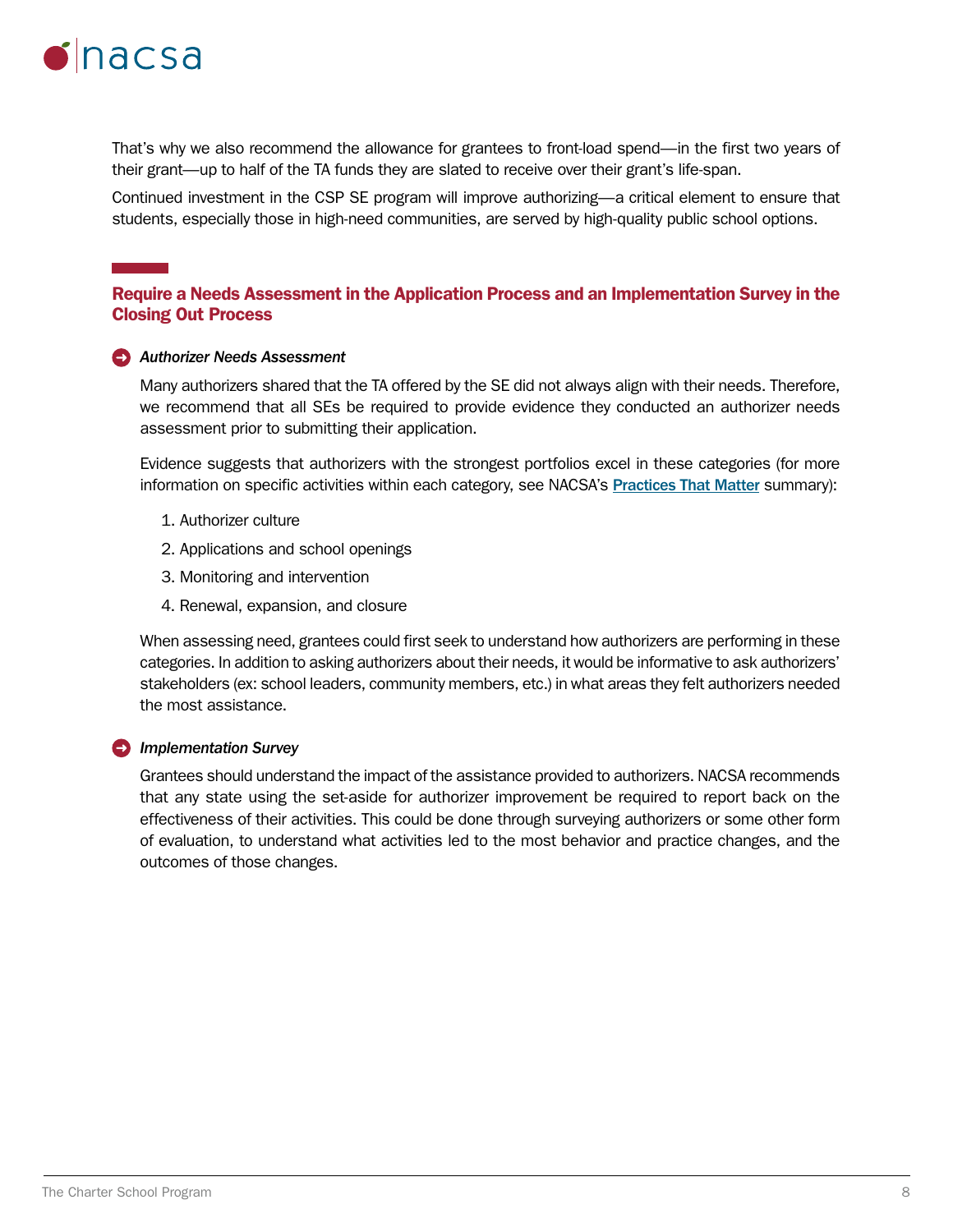

That's why we also recommend the allowance for grantees to front-load spend—in the first two years of their grant—up to half of the TA funds they are slated to receive over their grant's life-span.

Continued investment in the CSP SE program will improve authorizing—a critical element to ensure that students, especially those in high-need communities, are served by high-quality public school options.

### Require a Needs Assessment in the Application Process and an Implementation Survey in the Closing Out Process

#### *Authorizer Needs Assessment*

Many authorizers shared that the TA offered by the SE did not always align with their needs. Therefore, we recommend that all SEs be required to provide evidence they conducted an authorizer needs assessment prior to submitting their application.

Evidence suggests that authorizers with the strongest portfolios excel in these categories (for more information on specific activities within each category, see NACSA's [Practices That Matter](https://www.qualitycharters.org/wp-content/uploads/2018/02/LJC_Practices_that_Matter_FINAL_2018.pdf) summary):

- 1. Authorizer culture
- 2. Applications and school openings
- 3. Monitoring and intervention
- 4. Renewal, expansion, and closure

When assessing need, grantees could first seek to understand how authorizers are performing in these categories. In addition to asking authorizers about their needs, it would be informative to ask authorizers' stakeholders (ex: school leaders, community members, etc.) in what areas they felt authorizers needed the most assistance.

#### *<u></u><i>Implementation Survey*

Grantees should understand the impact of the assistance provided to authorizers. NACSA recommends that any state using the set-aside for authorizer improvement be required to report back on the effectiveness of their activities. This could be done through surveying authorizers or some other form of evaluation, to understand what activities led to the most behavior and practice changes, and the outcomes of those changes.